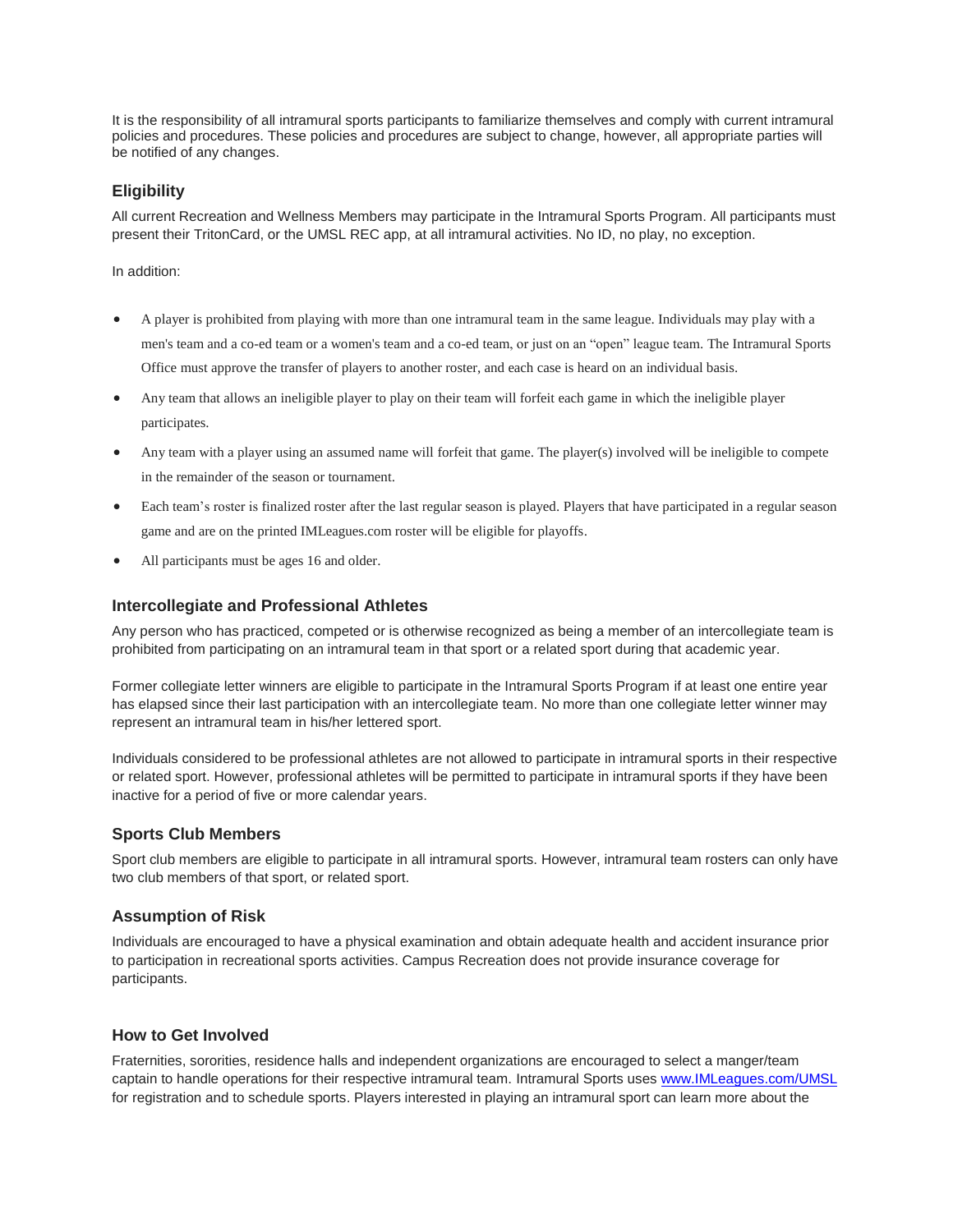It is the responsibility of all intramural sports participants to familiarize themselves and comply with current intramural policies and procedures. These policies and procedures are subject to change, however, all appropriate parties will be notified of any changes.

# **Eligibility**

All current Recreation and Wellness Members may participate in the Intramural Sports Program. All participants must present their TritonCard, or the UMSL REC app, at all intramural activities. No ID, no play, no exception.

In addition:

- A player is prohibited from playing with more than one intramural team in the same league. Individuals may play with a men's team and a co-ed team or a women's team and a co-ed team, or just on an "open" league team. The Intramural Sports Office must approve the transfer of players to another roster, and each case is heard on an individual basis.
- Any team that allows an ineligible player to play on their team will forfeit each game in which the ineligible player participates.
- Any team with a player using an assumed name will forfeit that game. The player(s) involved will be ineligible to compete in the remainder of the season or tournament.
- Each team's roster is finalized roster after the last regular season is played. Players that have participated in a regular season game and are on the printed IMLeagues.com roster will be eligible for playoffs.
- All participants must be ages 16 and older.

### **Intercollegiate and Professional Athletes**

Any person who has practiced, competed or is otherwise recognized as being a member of an intercollegiate team is prohibited from participating on an intramural team in that sport or a related sport during that academic year.

Former collegiate letter winners are eligible to participate in the Intramural Sports Program if at least one entire year has elapsed since their last participation with an intercollegiate team. No more than one collegiate letter winner may represent an intramural team in his/her lettered sport.

Individuals considered to be professional athletes are not allowed to participate in intramural sports in their respective or related sport. However, professional athletes will be permitted to participate in intramural sports if they have been inactive for a period of five or more calendar years.

## **Sports Club Members**

Sport club members are eligible to participate in all intramural sports. However, intramural team rosters can only have two club members of that sport, or related sport.

## **Assumption of Risk**

Individuals are encouraged to have a physical examination and obtain adequate health and accident insurance prior to participation in recreational sports activities. Campus Recreation does not provide insurance coverage for participants.

## **How to Get Involved**

Fraternities, sororities, residence halls and independent organizations are encouraged to select a manger/team captain to handle operations for their respective intramural team. Intramural Sports use[s www.IMLeagues.com/UMSL](http://www.imleagues.com/UMSL) for registration and to schedule sports. Players interested in playing an intramural sport can learn more about the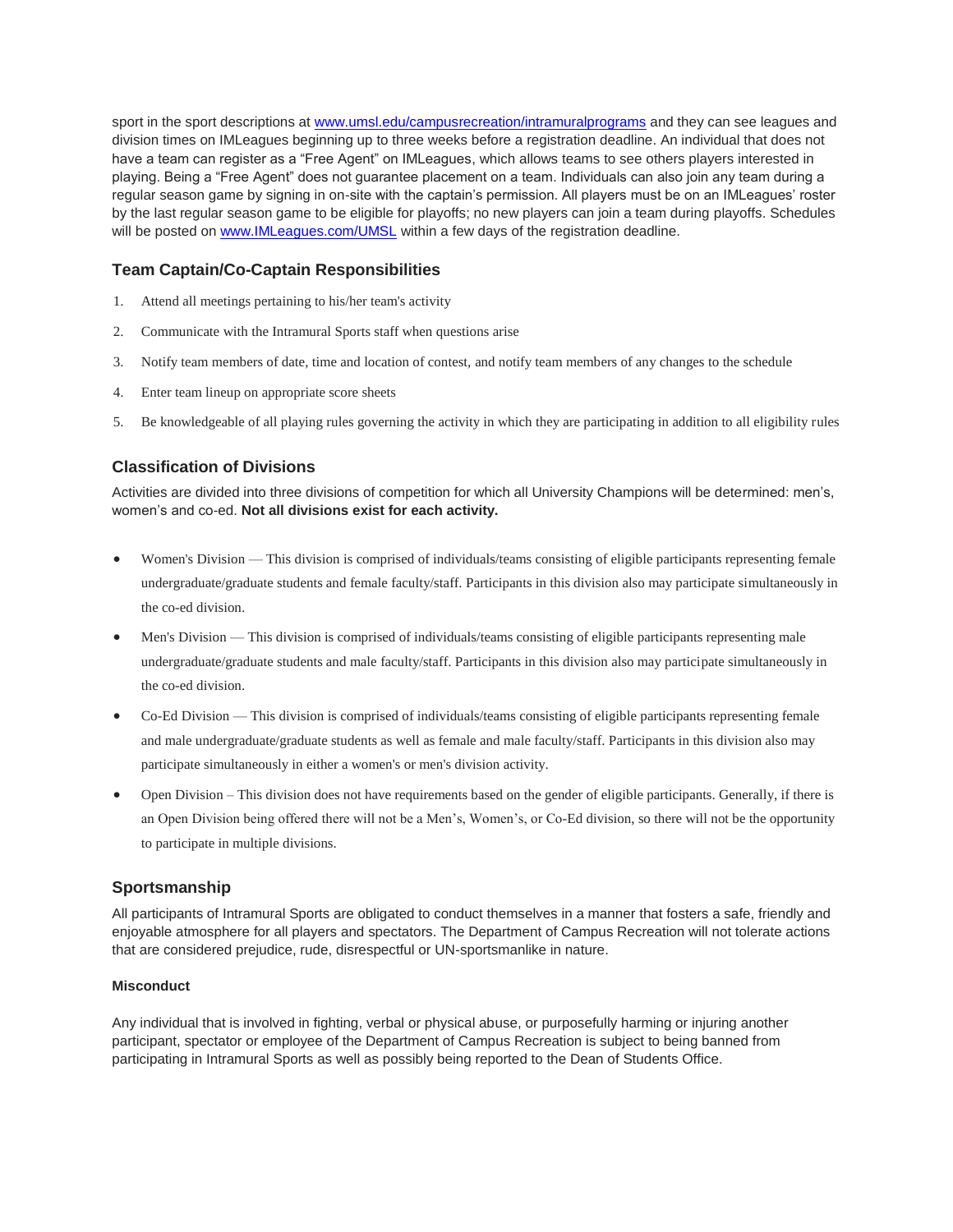sport in the sport descriptions at [www.umsl.edu/campusrecreation/intramuralprograms](http://www.umsl.edu/campusrecreation/intramuralprograms) and they can see leagues and division times on IMLeagues beginning up to three weeks before a registration deadline. An individual that does not have a team can register as a "Free Agent" on IMLeagues, which allows teams to see others players interested in playing. Being a "Free Agent" does not guarantee placement on a team. Individuals can also join any team during a regular season game by signing in on-site with the captain's permission. All players must be on an IMLeagues' roster by the last regular season game to be eligible for playoffs; no new players can join a team during playoffs. Schedules will be posted o[n www.IMLeagues.com/UMSL](http://www.imleagues.com/UMSL) within a few days of the registration deadline.

# **Team Captain/Co-Captain Responsibilities**

- 1. Attend all meetings pertaining to his/her team's activity
- 2. Communicate with the Intramural Sports staff when questions arise
- 3. Notify team members of date, time and location of contest, and notify team members of any changes to the schedule
- 4. Enter team lineup on appropriate score sheets
- 5. Be knowledgeable of all playing rules governing the activity in which they are participating in addition to all eligibility rules

# **Classification of Divisions**

Activities are divided into three divisions of competition for which all University Champions will be determined: men's, women's and co-ed. **Not all divisions exist for each activity.**

- Women's Division This division is comprised of individuals/teams consisting of eligible participants representing female undergraduate/graduate students and female faculty/staff. Participants in this division also may participate simultaneously in the co-ed division.
- Men's Division This division is comprised of individuals/teams consisting of eligible participants representing male undergraduate/graduate students and male faculty/staff. Participants in this division also may participate simultaneously in the co-ed division.
- Co-Ed Division This division is comprised of individuals/teams consisting of eligible participants representing female and male undergraduate/graduate students as well as female and male faculty/staff. Participants in this division also may participate simultaneously in either a women's or men's division activity.
- Open Division This division does not have requirements based on the gender of eligible participants. Generally, if there is an Open Division being offered there will not be a Men's, Women's, or Co-Ed division, so there will not be the opportunity to participate in multiple divisions.

## **Sportsmanship**

All participants of Intramural Sports are obligated to conduct themselves in a manner that fosters a safe, friendly and enjoyable atmosphere for all players and spectators. The Department of Campus Recreation will not tolerate actions that are considered prejudice, rude, disrespectful or UN-sportsmanlike in nature.

### **Misconduct**

Any individual that is involved in fighting, verbal or physical abuse, or purposefully harming or injuring another participant, spectator or employee of the Department of Campus Recreation is subject to being banned from participating in Intramural Sports as well as possibly being reported to the Dean of Students Office.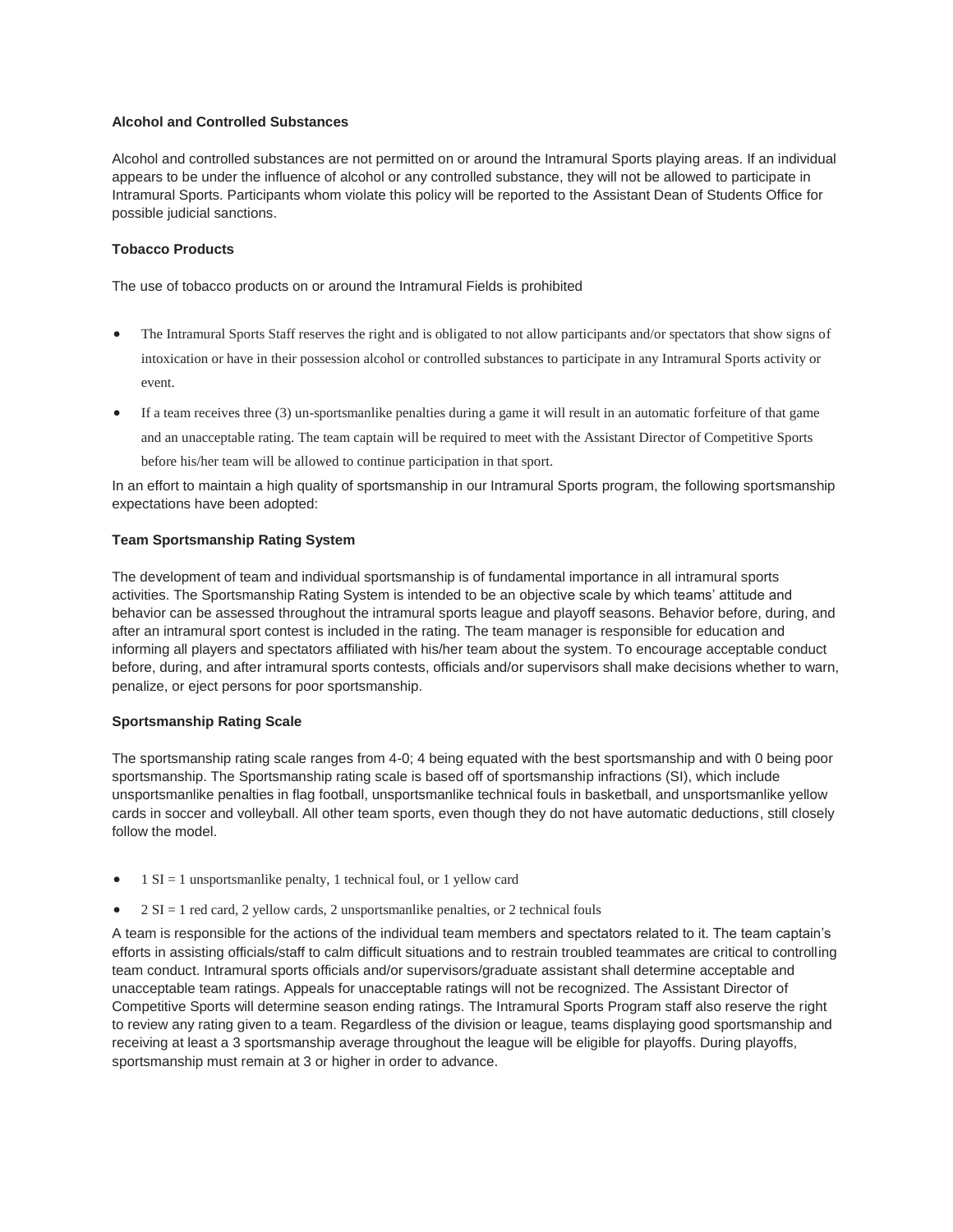### **Alcohol and Controlled Substances**

Alcohol and controlled substances are not permitted on or around the Intramural Sports playing areas. If an individual appears to be under the influence of alcohol or any controlled substance, they will not be allowed to participate in Intramural Sports. Participants whom violate this policy will be reported to the Assistant Dean of Students Office for possible judicial sanctions.

## **Tobacco Products**

The use of tobacco products on or around the Intramural Fields is prohibited

- The Intramural Sports Staff reserves the right and is obligated to not allow participants and/or spectators that show signs of intoxication or have in their possession alcohol or controlled substances to participate in any Intramural Sports activity or event.
- If a team receives three (3) un-sportsmanlike penalties during a game it will result in an automatic forfeiture of that game and an unacceptable rating. The team captain will be required to meet with the Assistant Director of Competitive Sports before his/her team will be allowed to continue participation in that sport.

In an effort to maintain a high quality of sportsmanship in our Intramural Sports program, the following sportsmanship expectations have been adopted:

### **Team Sportsmanship Rating System**

The development of team and individual sportsmanship is of fundamental importance in all intramural sports activities. The Sportsmanship Rating System is intended to be an objective scale by which teams' attitude and behavior can be assessed throughout the intramural sports league and playoff seasons. Behavior before, during, and after an intramural sport contest is included in the rating. The team manager is responsible for education and informing all players and spectators affiliated with his/her team about the system. To encourage acceptable conduct before, during, and after intramural sports contests, officials and/or supervisors shall make decisions whether to warn, penalize, or eject persons for poor sportsmanship.

### **Sportsmanship Rating Scale**

The sportsmanship rating scale ranges from 4-0; 4 being equated with the best sportsmanship and with 0 being poor sportsmanship. The Sportsmanship rating scale is based off of sportsmanship infractions (SI), which include unsportsmanlike penalties in flag football, unsportsmanlike technical fouls in basketball, and unsportsmanlike yellow cards in soccer and volleyball. All other team sports, even though they do not have automatic deductions, still closely follow the model.

- $\bullet$  1 SI = 1 unsportsmanlike penalty, 1 technical foul, or 1 yellow card
- 2 SI = 1 red card, 2 yellow cards, 2 unsportsmanlike penalties, or 2 technical fouls

A team is responsible for the actions of the individual team members and spectators related to it. The team captain's efforts in assisting officials/staff to calm difficult situations and to restrain troubled teammates are critical to controlling team conduct. Intramural sports officials and/or supervisors/graduate assistant shall determine acceptable and unacceptable team ratings. Appeals for unacceptable ratings will not be recognized. The Assistant Director of Competitive Sports will determine season ending ratings. The Intramural Sports Program staff also reserve the right to review any rating given to a team. Regardless of the division or league, teams displaying good sportsmanship and receiving at least a 3 sportsmanship average throughout the league will be eligible for playoffs. During playoffs, sportsmanship must remain at 3 or higher in order to advance.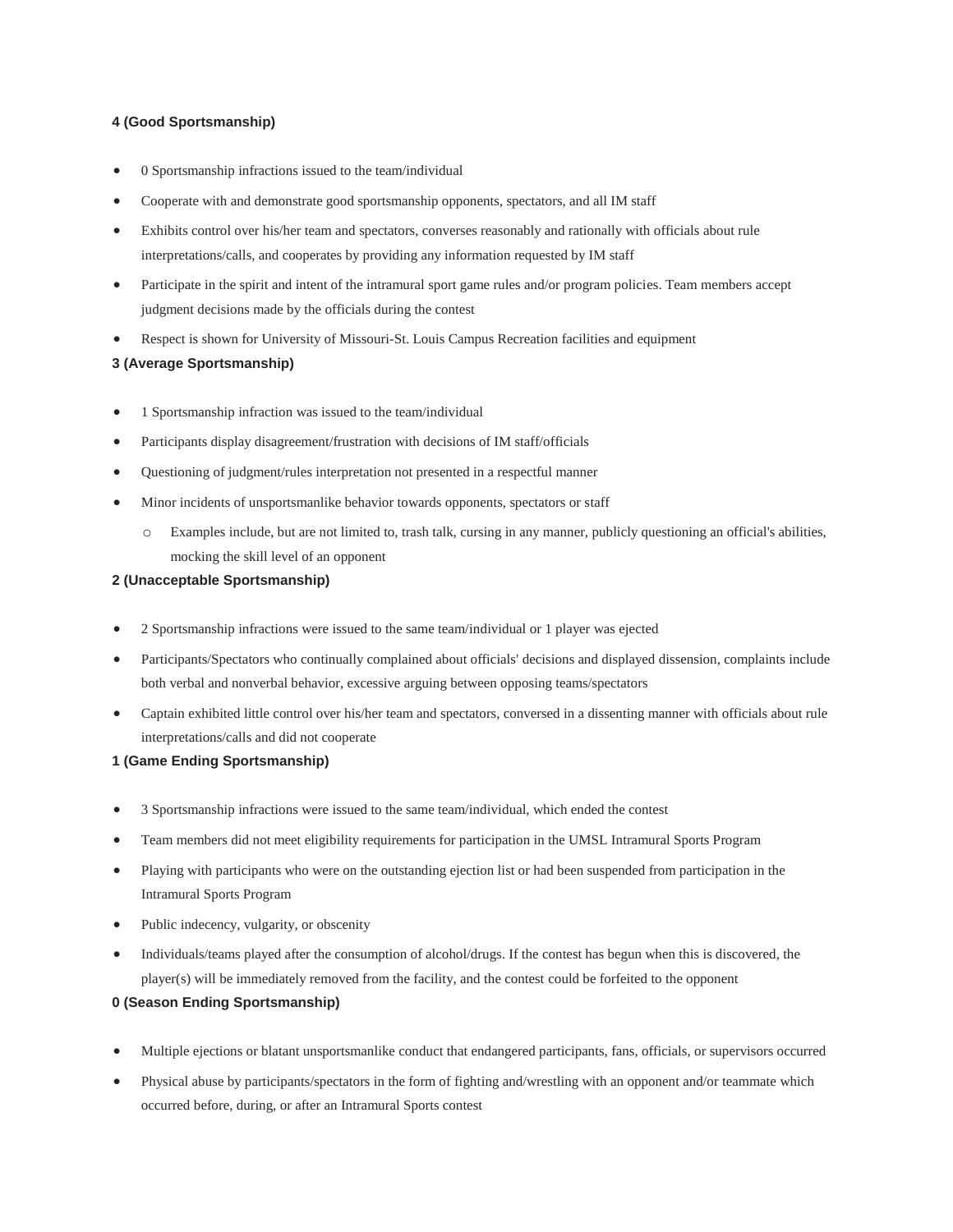### **4 (Good Sportsmanship)**

- 0 Sportsmanship infractions issued to the team/individual
- Cooperate with and demonstrate good sportsmanship opponents, spectators, and all IM staff
- Exhibits control over his/her team and spectators, converses reasonably and rationally with officials about rule interpretations/calls, and cooperates by providing any information requested by IM staff
- Participate in the spirit and intent of the intramural sport game rules and/or program policies. Team members accept judgment decisions made by the officials during the contest
- Respect is shown for University of Missouri-St. Louis Campus Recreation facilities and equipment

#### **3 (Average Sportsmanship)**

- 1 Sportsmanship infraction was issued to the team/individual
- Participants display disagreement/frustration with decisions of IM staff/officials
- Questioning of judgment/rules interpretation not presented in a respectful manner
- Minor incidents of unsportsmanlike behavior towards opponents, spectators or staff
	- o Examples include, but are not limited to, trash talk, cursing in any manner, publicly questioning an official's abilities, mocking the skill level of an opponent

### **2 (Unacceptable Sportsmanship)**

- 2 Sportsmanship infractions were issued to the same team/individual or 1 player was ejected
- Participants/Spectators who continually complained about officials' decisions and displayed dissension, complaints include both verbal and nonverbal behavior, excessive arguing between opposing teams/spectators
- Captain exhibited little control over his/her team and spectators, conversed in a dissenting manner with officials about rule interpretations/calls and did not cooperate

### **1 (Game Ending Sportsmanship)**

- 3 Sportsmanship infractions were issued to the same team/individual, which ended the contest
- Team members did not meet eligibility requirements for participation in the UMSL Intramural Sports Program
- Playing with participants who were on the outstanding ejection list or had been suspended from participation in the Intramural Sports Program
- Public indecency, vulgarity, or obscenity
- Individuals/teams played after the consumption of alcohol/drugs. If the contest has begun when this is discovered, the player(s) will be immediately removed from the facility, and the contest could be forfeited to the opponent

#### **0 (Season Ending Sportsmanship)**

- Multiple ejections or blatant unsportsmanlike conduct that endangered participants, fans, officials, or supervisors occurred
- Physical abuse by participants/spectators in the form of fighting and/wrestling with an opponent and/or teammate which occurred before, during, or after an Intramural Sports contest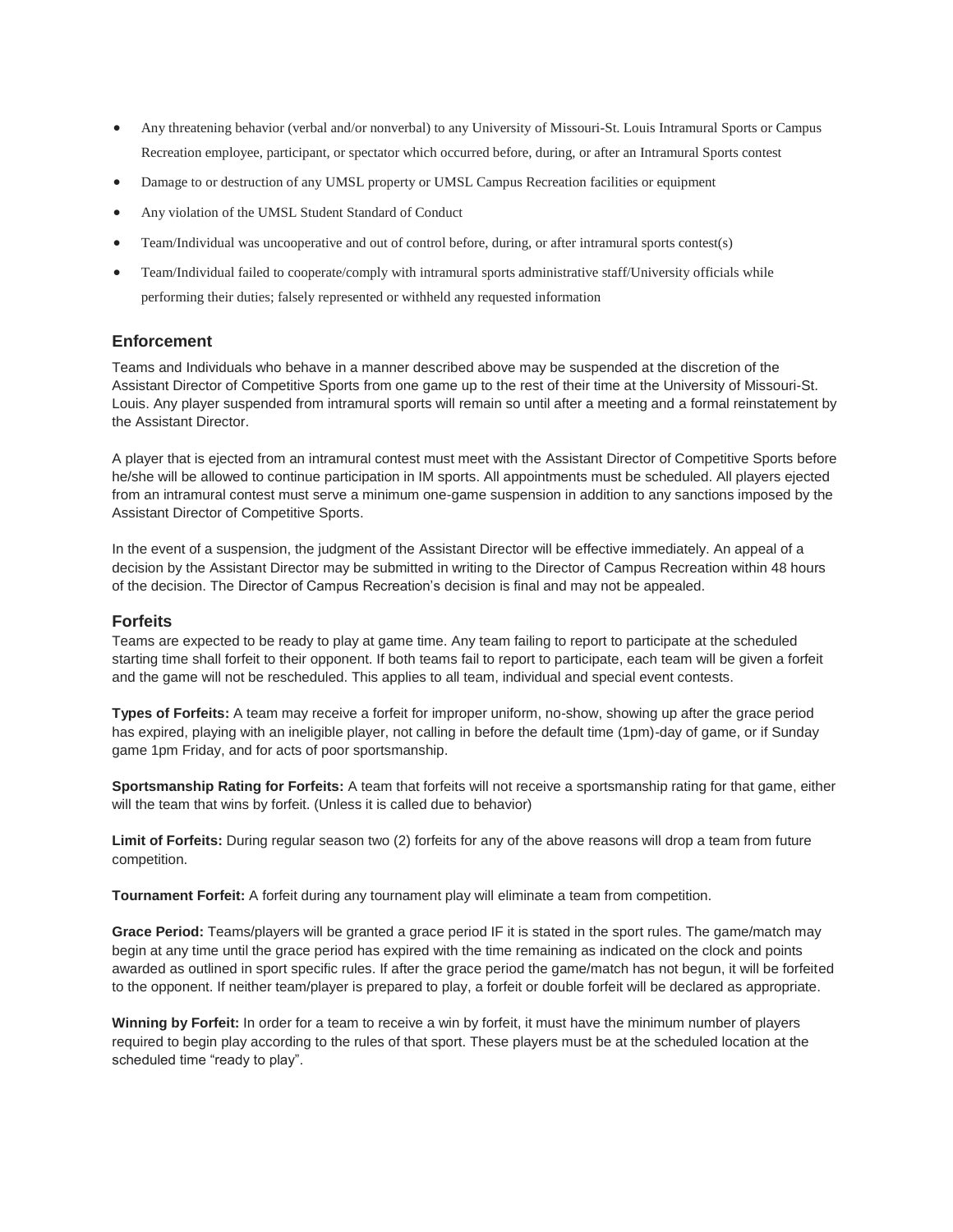- Any threatening behavior (verbal and/or nonverbal) to any University of Missouri-St. Louis Intramural Sports or Campus Recreation employee, participant, or spectator which occurred before, during, or after an Intramural Sports contest
- Damage to or destruction of any UMSL property or UMSL Campus Recreation facilities or equipment
- Any violation of the UMSL Student Standard of Conduct
- Team/Individual was uncooperative and out of control before, during, or after intramural sports contest(s)
- Team/Individual failed to cooperate/comply with intramural sports administrative staff/University officials while performing their duties; falsely represented or withheld any requested information

## **Enforcement**

Teams and Individuals who behave in a manner described above may be suspended at the discretion of the Assistant Director of Competitive Sports from one game up to the rest of their time at the University of Missouri-St. Louis. Any player suspended from intramural sports will remain so until after a meeting and a formal reinstatement by the Assistant Director.

A player that is ejected from an intramural contest must meet with the Assistant Director of Competitive Sports before he/she will be allowed to continue participation in IM sports. All appointments must be scheduled. All players ejected from an intramural contest must serve a minimum one-game suspension in addition to any sanctions imposed by the Assistant Director of Competitive Sports.

In the event of a suspension, the judgment of the Assistant Director will be effective immediately. An appeal of a decision by the Assistant Director may be submitted in writing to the Director of Campus Recreation within 48 hours of the decision. The Director of Campus Recreation's decision is final and may not be appealed.

### **Forfeits**

Teams are expected to be ready to play at game time. Any team failing to report to participate at the scheduled starting time shall forfeit to their opponent. If both teams fail to report to participate, each team will be given a forfeit and the game will not be rescheduled. This applies to all team, individual and special event contests.

**Types of Forfeits:** A team may receive a forfeit for improper uniform, no-show, showing up after the grace period has expired, playing with an ineligible player, not calling in before the default time (1pm)-day of game, or if Sunday game 1pm Friday, and for acts of poor sportsmanship.

**Sportsmanship Rating for Forfeits:** A team that forfeits will not receive a sportsmanship rating for that game, either will the team that wins by forfeit. (Unless it is called due to behavior)

Limit of Forfeits: During regular season two (2) forfeits for any of the above reasons will drop a team from future competition.

**Tournament Forfeit:** A forfeit during any tournament play will eliminate a team from competition.

**Grace Period:** Teams/players will be granted a grace period IF it is stated in the sport rules. The game/match may begin at any time until the grace period has expired with the time remaining as indicated on the clock and points awarded as outlined in sport specific rules. If after the grace period the game/match has not begun, it will be forfeited to the opponent. If neither team/player is prepared to play, a forfeit or double forfeit will be declared as appropriate.

**Winning by Forfeit:** In order for a team to receive a win by forfeit, it must have the minimum number of players required to begin play according to the rules of that sport. These players must be at the scheduled location at the scheduled time "ready to play".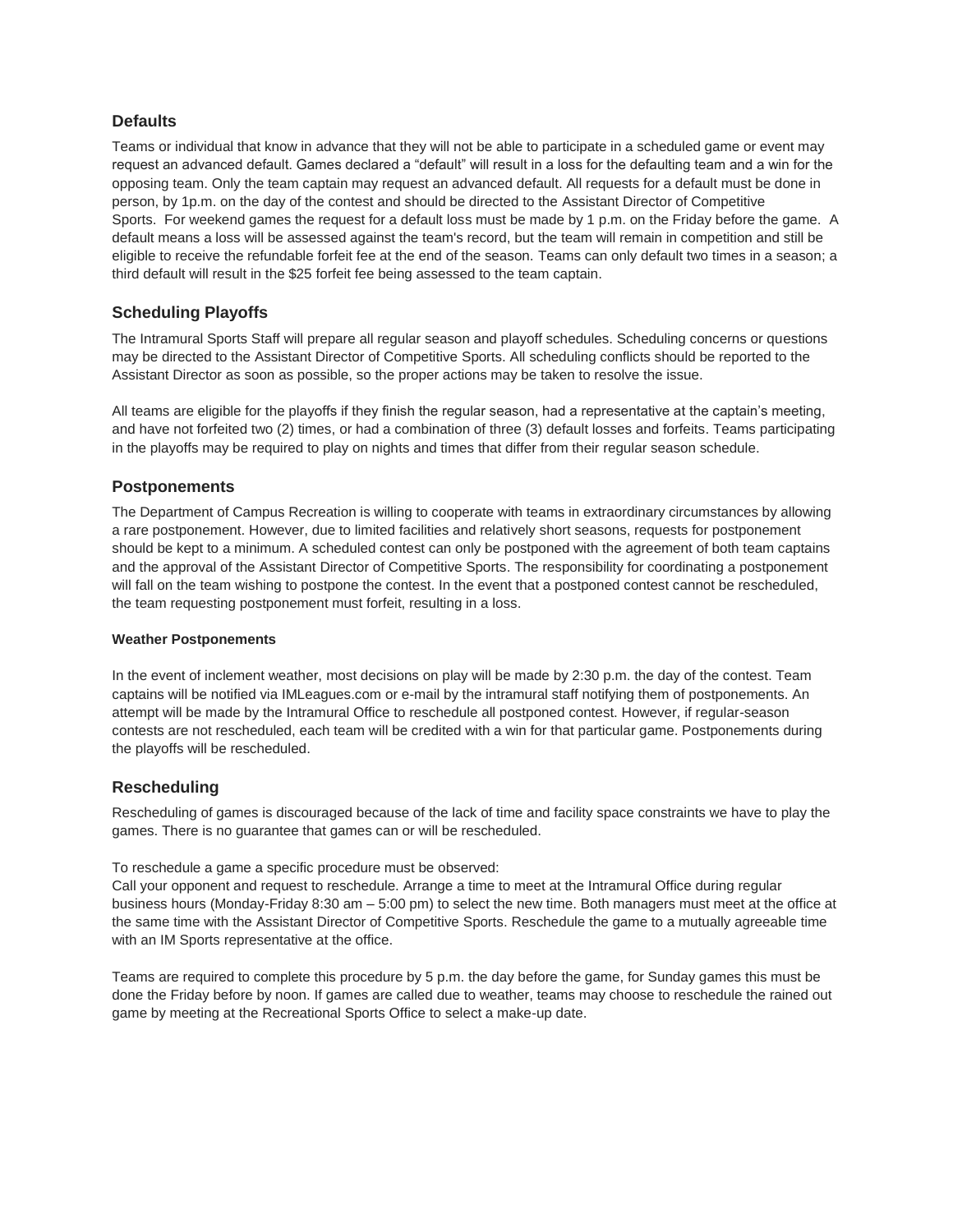# **Defaults**

Teams or individual that know in advance that they will not be able to participate in a scheduled game or event may request an advanced default. Games declared a "default" will result in a loss for the defaulting team and a win for the opposing team. Only the team captain may request an advanced default. All requests for a default must be done in person, by 1p.m. on the day of the contest and should be directed to the Assistant Director of Competitive Sports. For weekend games the request for a default loss must be made by 1 p.m. on the Friday before the game. A default means a loss will be assessed against the team's record, but the team will remain in competition and still be eligible to receive the refundable forfeit fee at the end of the season. Teams can only default two times in a season; a third default will result in the \$25 forfeit fee being assessed to the team captain.

# **Scheduling Playoffs**

The Intramural Sports Staff will prepare all regular season and playoff schedules. Scheduling concerns or questions may be directed to the Assistant Director of Competitive Sports. All scheduling conflicts should be reported to the Assistant Director as soon as possible, so the proper actions may be taken to resolve the issue.

All teams are eligible for the playoffs if they finish the regular season, had a representative at the captain's meeting, and have not forfeited two (2) times, or had a combination of three (3) default losses and forfeits. Teams participating in the playoffs may be required to play on nights and times that differ from their regular season schedule.

# **Postponements**

The Department of Campus Recreation is willing to cooperate with teams in extraordinary circumstances by allowing a rare postponement. However, due to limited facilities and relatively short seasons, requests for postponement should be kept to a minimum. A scheduled contest can only be postponed with the agreement of both team captains and the approval of the Assistant Director of Competitive Sports. The responsibility for coordinating a postponement will fall on the team wishing to postpone the contest. In the event that a postponed contest cannot be rescheduled, the team requesting postponement must forfeit, resulting in a loss.

### **Weather Postponements**

In the event of inclement weather, most decisions on play will be made by 2:30 p.m. the day of the contest. Team captains will be notified via IMLeagues.com or e-mail by the intramural staff notifying them of postponements. An attempt will be made by the Intramural Office to reschedule all postponed contest. However, if regular-season contests are not rescheduled, each team will be credited with a win for that particular game. Postponements during the playoffs will be rescheduled.

# **Rescheduling**

Rescheduling of games is discouraged because of the lack of time and facility space constraints we have to play the games. There is no guarantee that games can or will be rescheduled.

To reschedule a game a specific procedure must be observed:

Call your opponent and request to reschedule. Arrange a time to meet at the Intramural Office during regular business hours (Monday-Friday 8:30 am – 5:00 pm) to select the new time. Both managers must meet at the office at the same time with the Assistant Director of Competitive Sports. Reschedule the game to a mutually agreeable time with an IM Sports representative at the office.

Teams are required to complete this procedure by 5 p.m. the day before the game, for Sunday games this must be done the Friday before by noon. If games are called due to weather, teams may choose to reschedule the rained out game by meeting at the Recreational Sports Office to select a make-up date.